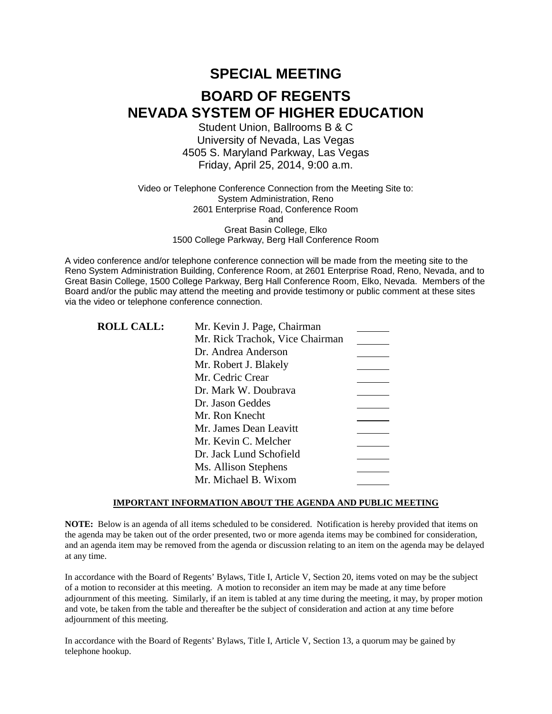# **SPECIAL MEETING BOARD OF REGENTS NEVADA SYSTEM OF HIGHER EDUCATION**

Student Union, Ballrooms B & C University of Nevada, Las Vegas 4505 S. Maryland Parkway, Las Vegas Friday, April 25, 2014, 9:00 a.m.

Video or Telephone Conference Connection from the Meeting Site to: System Administration, Reno 2601 Enterprise Road, Conference Room and Great Basin College, Elko 1500 College Parkway, Berg Hall Conference Room

A video conference and/or telephone conference connection will be made from the meeting site to the Reno System Administration Building, Conference Room, at 2601 Enterprise Road, Reno, Nevada, and to Great Basin College, 1500 College Parkway, Berg Hall Conference Room, Elko, Nevada. Members of the Board and/or the public may attend the meeting and provide testimony or public comment at these sites via the video or telephone conference connection.

| <b>ROLL CALL:</b> | Mr. Kevin J. Page, Chairman     |  |
|-------------------|---------------------------------|--|
|                   | Mr. Rick Trachok, Vice Chairman |  |
|                   | Dr. Andrea Anderson             |  |
|                   | Mr. Robert J. Blakely           |  |
|                   | Mr. Cedric Crear                |  |
|                   | Dr. Mark W. Doubrava            |  |
|                   | Dr. Jason Geddes                |  |
|                   | Mr. Ron Knecht                  |  |
|                   | Mr. James Dean Leavitt          |  |
|                   | Mr. Kevin C. Melcher            |  |
|                   | Dr. Jack Lund Schofield         |  |
|                   | Ms. Allison Stephens            |  |
|                   | Mr. Michael B. Wixom            |  |

#### **IMPORTANT INFORMATION ABOUT THE AGENDA AND PUBLIC MEETING**

**NOTE:** Below is an agenda of all items scheduled to be considered. Notification is hereby provided that items on the agenda may be taken out of the order presented, two or more agenda items may be combined for consideration, and an agenda item may be removed from the agenda or discussion relating to an item on the agenda may be delayed at any time.

In accordance with the Board of Regents' Bylaws, Title I, Article V, Section 20, items voted on may be the subject of a motion to reconsider at this meeting. A motion to reconsider an item may be made at any time before adjournment of this meeting. Similarly, if an item is tabled at any time during the meeting, it may, by proper motion and vote, be taken from the table and thereafter be the subject of consideration and action at any time before adjournment of this meeting.

In accordance with the Board of Regents' Bylaws, Title I, Article V, Section 13, a quorum may be gained by telephone hookup.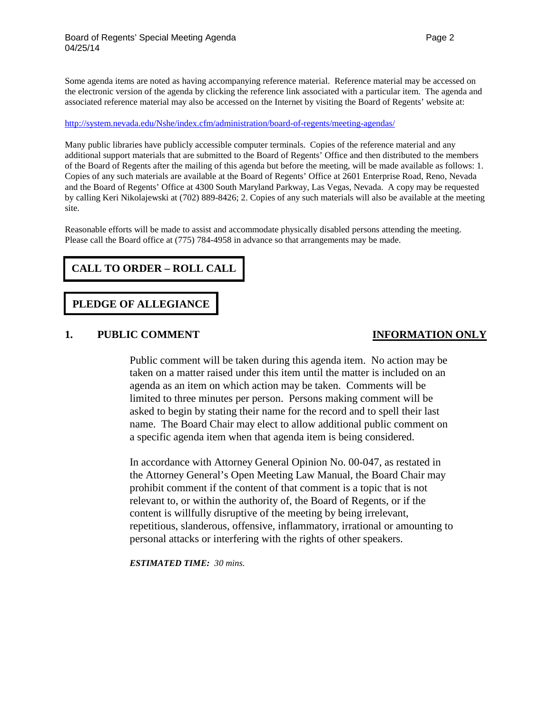Some agenda items are noted as having accompanying reference material. Reference material may be accessed on the electronic version of the agenda by clicking the reference link associated with a particular item. The agenda and associated reference material may also be accessed on the Internet by visiting the Board of Regents' website at:

#### <http://system.nevada.edu/Nshe/index.cfm/administration/board-of-regents/meeting-agendas/>

Many public libraries have publicly accessible computer terminals. Copies of the reference material and any additional support materials that are submitted to the Board of Regents' Office and then distributed to the members of the Board of Regents after the mailing of this agenda but before the meeting, will be made available as follows: 1. Copies of any such materials are available at the Board of Regents' Office at 2601 Enterprise Road, Reno, Nevada and the Board of Regents' Office at 4300 South Maryland Parkway, Las Vegas, Nevada. A copy may be requested by calling Keri Nikolajewski at (702) 889-8426; 2. Copies of any such materials will also be available at the meeting site.

Reasonable efforts will be made to assist and accommodate physically disabled persons attending the meeting. Please call the Board office at (775) 784-4958 in advance so that arrangements may be made.

# **CALL TO ORDER – ROLL CALL**

### **PLEDGE OF ALLEGIANCE**

### **1. PUBLIC COMMENT INFORMATION ONLY**

Public comment will be taken during this agenda item. No action may be taken on a matter raised under this item until the matter is included on an agenda as an item on which action may be taken. Comments will be limited to three minutes per person. Persons making comment will be asked to begin by stating their name for the record and to spell their last name. The Board Chair may elect to allow additional public comment on a specific agenda item when that agenda item is being considered.

In accordance with Attorney General Opinion No. 00-047, as restated in the Attorney General's Open Meeting Law Manual, the Board Chair may prohibit comment if the content of that comment is a topic that is not relevant to, or within the authority of, the Board of Regents, or if the content is willfully disruptive of the meeting by being irrelevant, repetitious, slanderous, offensive, inflammatory, irrational or amounting to personal attacks or interfering with the rights of other speakers.

*ESTIMATED TIME: 30 mins.*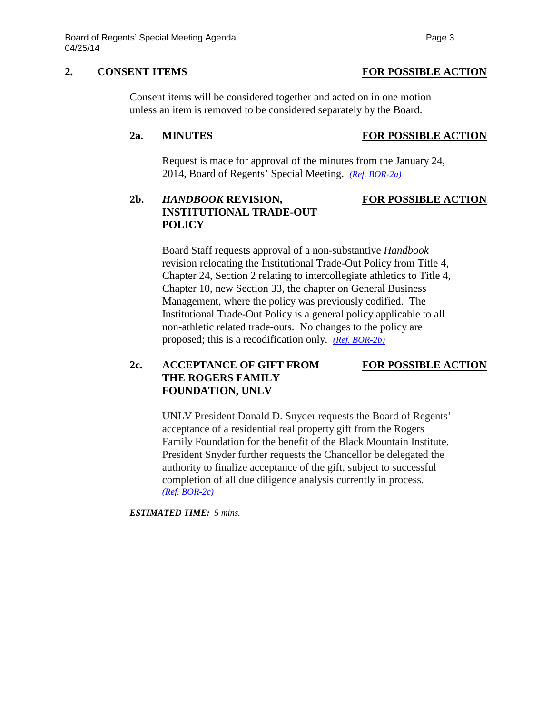### **2. CONSENT ITEMS FOR POSSIBLE ACTION**

Consent items will be considered together and acted on in one motion unless an item is removed to be considered separately by the Board.

### **2a. MINUTES FOR POSSIBLE ACTION**

Request is made for approval of the minutes from the January 24, 2014, Board of Regents' Special Meeting. *[\(Ref. BOR-2a\)](http://system.nevada.edu/tasks/sites/Nshe/assets/File/BoardOfRegents/Agendas/2014/apr-mtgs/bor-refs/BOR-2a.pdf)*

## **2b.** *HANDBOOK* **REVISION, FOR POSSIBLE ACTION INSTITUTIONAL TRADE-OUT POLICY**

Board Staff requests approval of a non-substantive *Handbook* revision relocating the Institutional Trade-Out Policy from Title 4, Chapter 24, Section 2 relating to intercollegiate athletics to Title 4, Chapter 10, new Section 33, the chapter on General Business Management, where the policy was previously codified. The Institutional Trade-Out Policy is a general policy applicable to all non-athletic related trade-outs. No changes to the policy are proposed; this is a recodification only. *[\(Ref. BOR-2b\)](http://system.nevada.edu/tasks/sites/Nshe/assets/File/BoardOfRegents/Agendas/2014/apr-mtgs/bor-refs/BOR-2b.pdf)*

### **2c. ACCEPTANCE OF GIFT FROM FOR POSSIBLE ACTION THE ROGERS FAMILY FOUNDATION, UNLV**

UNLV President Donald D. Snyder requests the Board of Regents' acceptance of a residential real property gift from the Rogers Family Foundation for the benefit of the Black Mountain Institute. President Snyder further requests the Chancellor be delegated the authority to finalize acceptance of the gift, subject to successful completion of all due diligence analysis currently in process. *[\(Ref. BOR-2c\)](http://system.nevada.edu/tasks/sites/Nshe/assets/File/BoardOfRegents/Agendas/2014/apr-mtgs/bor-refs/BOR-2c.pdf)*

*ESTIMATED TIME: 5 mins.*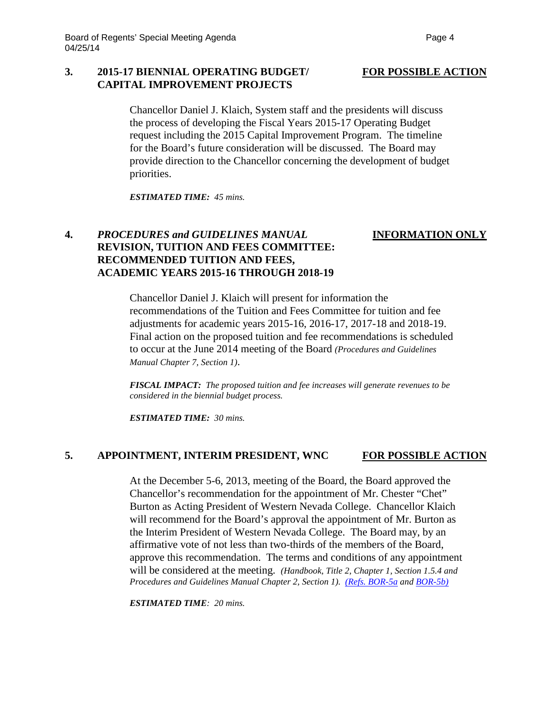### **3. 2015-17 BIENNIAL OPERATING BUDGET/ FOR POSSIBLE ACTION CAPITAL IMPROVEMENT PROJECTS**

Chancellor Daniel J. Klaich, System staff and the presidents will discuss the process of developing the Fiscal Years 2015-17 Operating Budget request including the 2015 Capital Improvement Program. The timeline for the Board's future consideration will be discussed. The Board may provide direction to the Chancellor concerning the development of budget priorities.

*ESTIMATED TIME: 45 mins.*

### **4.** *PROCEDURES and GUIDELINES MANUAL* **INFORMATION ONLY REVISION, TUITION AND FEES COMMITTEE: RECOMMENDED TUITION AND FEES, ACADEMIC YEARS 2015-16 THROUGH 2018-19**

Chancellor Daniel J. Klaich will present for information the recommendations of the Tuition and Fees Committee for tuition and fee adjustments for academic years 2015-16, 2016-17, 2017-18 and 2018-19. Final action on the proposed tuition and fee recommendations is scheduled to occur at the June 2014 meeting of the Board *(Procedures and Guidelines Manual Chapter 7, Section 1)*.

*FISCAL IMPACT: The proposed tuition and fee increases will generate revenues to be considered in the biennial budget process.*

*ESTIMATED TIME: 30 mins.*

### **5. APPOINTMENT, INTERIM PRESIDENT, WNC FOR POSSIBLE ACTION**

At the December 5-6, 2013, meeting of the Board, the Board approved the Chancellor's recommendation for the appointment of Mr. Chester "Chet" Burton as Acting President of Western Nevada College. Chancellor Klaich will recommend for the Board's approval the appointment of Mr. Burton as the Interim President of Western Nevada College. The Board may, by an affirmative vote of not less than two-thirds of the members of the Board, approve this recommendation. The terms and conditions of any appointment will be considered at the meeting. *(Handbook, Title 2, Chapter 1, Section 1.5.4 and Procedures and Guidelines Manual Chapter 2, Section 1). [\(Refs. BOR-5a](http://system.nevada.edu/tasks/sites/Nshe/assets/File/BoardOfRegents/Agendas/2014/apr-mtgs/bor-refs/BOR-5a.pdf) and [BOR-5b\)](http://system.nevada.edu/tasks/sites/Nshe/assets/File/BoardOfRegents/Agendas/2014/apr-mtgs/bor-refs/BOR-5b.pdf)*

*ESTIMATED TIME: 20 mins.*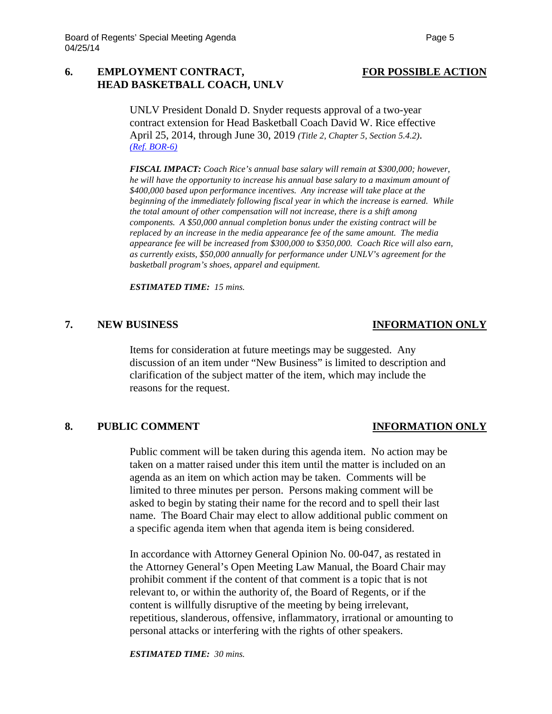### **6. EMPLOYMENT CONTRACT, FOR POSSIBLE ACTION HEAD BASKETBALL COACH, UNLV**

UNLV President Donald D. Snyder requests approval of a two-year contract extension for Head Basketball Coach David W. Rice effective April 25, 2014, through June 30, 2019 *(Title 2, Chapter 5, Section 5.4.2)*. *[\(Ref. BOR-6\)](http://system.nevada.edu/tasks/sites/Nshe/assets/File/BoardOfRegents/Agendas/2014/apr-mtgs/bor-refs/BOR-6.pdf)*

*FISCAL IMPACT: Coach Rice's annual base salary will remain at \$300,000; however, he will have the opportunity to increase his annual base salary to a maximum amount of \$400,000 based upon performance incentives. Any increase will take place at the beginning of the immediately following fiscal year in which the increase is earned. While the total amount of other compensation will not increase, there is a shift among components. A \$50,000 annual completion bonus under the existing contract will be replaced by an increase in the media appearance fee of the same amount. The media appearance fee will be increased from \$300,000 to \$350,000. Coach Rice will also earn, as currently exists, \$50,000 annually for performance under UNLV's agreement for the basketball program's shoes, apparel and equipment.*

*ESTIMATED TIME: 15 mins.*

### **7. NEW BUSINESS INFORMATION ONLY**

Items for consideration at future meetings may be suggested. Any discussion of an item under "New Business" is limited to description and clarification of the subject matter of the item, which may include the reasons for the request.

### **8. PUBLIC COMMENT INFORMATION ONLY**

Public comment will be taken during this agenda item. No action may be taken on a matter raised under this item until the matter is included on an agenda as an item on which action may be taken. Comments will be limited to three minutes per person. Persons making comment will be asked to begin by stating their name for the record and to spell their last name. The Board Chair may elect to allow additional public comment on a specific agenda item when that agenda item is being considered.

In accordance with Attorney General Opinion No. 00-047, as restated in the Attorney General's Open Meeting Law Manual, the Board Chair may prohibit comment if the content of that comment is a topic that is not relevant to, or within the authority of, the Board of Regents, or if the content is willfully disruptive of the meeting by being irrelevant, repetitious, slanderous, offensive, inflammatory, irrational or amounting to personal attacks or interfering with the rights of other speakers.

*ESTIMATED TIME: 30 mins.*